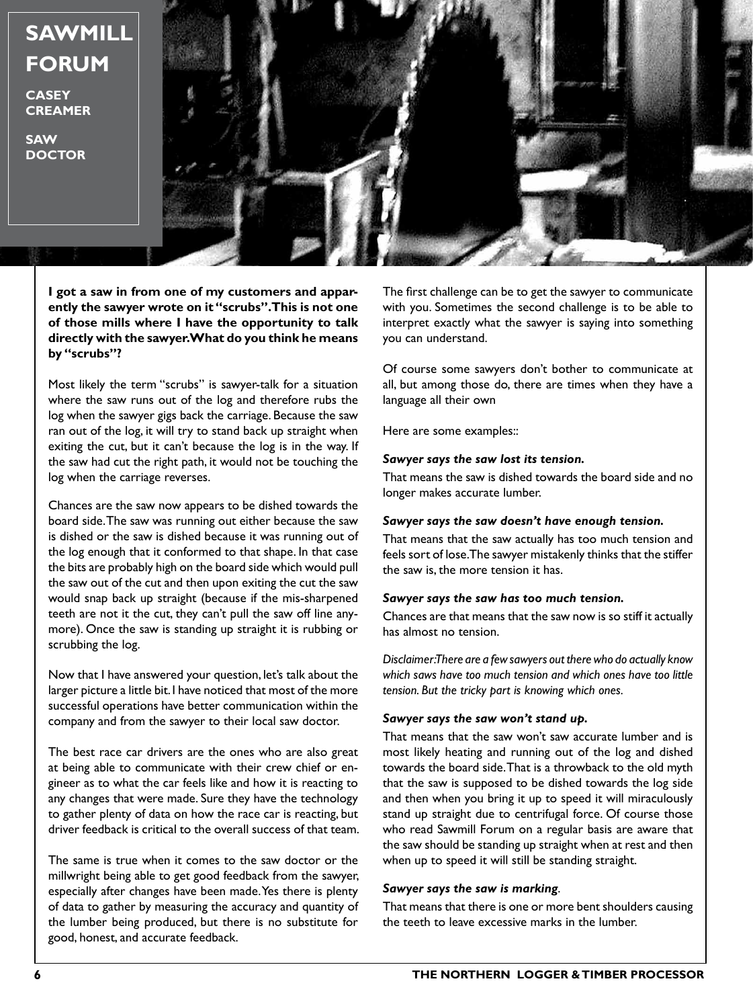# **SAWMILL FORUM**

**CASEY CREAMER**

**SAW DOCTOR**



**I got a saw in from one of my customers and apparently the sawyer wrote on it "scrubs". This is not one of those mills where I have the opportunity to talk directly with the sawyer. What do you think he means by "scrubs"?**

Most likely the term "scrubs" is sawyer-talk for a situation where the saw runs out of the log and therefore rubs the log when the sawyer gigs back the carriage. Because the saw ran out of the log, it will try to stand back up straight when exiting the cut, but it can't because the log is in the way. If the saw had cut the right path, it would not be touching the log when the carriage reverses.

Chances are the saw now appears to be dished towards the board side. The saw was running out either because the saw is dished or the saw is dished because it was running out of the log enough that it conformed to that shape. In that case the bits are probably high on the board side which would pull the saw out of the cut and then upon exiting the cut the saw would snap back up straight (because if the mis-sharpened teeth are not it the cut, they can't pull the saw off line anymore). Once the saw is standing up straight it is rubbing or scrubbing the log.

Now that I have answered your question, let's talk about the larger picture a little bit. I have noticed that most of the more successful operations have better communication within the company and from the sawyer to their local saw doctor.

The best race car drivers are the ones who are also great at being able to communicate with their crew chief or engineer as to what the car feels like and how it is reacting to any changes that were made. Sure they have the technology to gather plenty of data on how the race car is reacting, but driver feedback is critical to the overall success of that team.

The same is true when it comes to the saw doctor or the millwright being able to get good feedback from the sawyer, especially after changes have been made. Yes there is plenty of data to gather by measuring the accuracy and quantity of the lumber being produced, but there is no substitute for good, honest, and accurate feedback.

The first challenge can be to get the sawyer to communicate with you. Sometimes the second challenge is to be able to interpret exactly what the sawyer is saying into something you can understand.

Of course some sawyers don't bother to communicate at all, but among those do, there are times when they have a language all their own

Here are some examples::

## *Sawyer says the saw lost its tension.*

That means the saw is dished towards the board side and no longer makes accurate lumber.

## *Sawyer says the saw doesn't have enough tension.*

That means that the saw actually has too much tension and feels sort of lose. The sawyer mistakenly thinks that the stiffer the saw is, the more tension it has.

## *Sawyer says the saw has too much tension.*

Chances are that means that the saw now is so stiff it actually has almost no tension.

*Disclaimer: There are a few sawyers out there who do actually know which saws have too much tension and which ones have too little tension. But the tricky part is knowing which ones.*

# *Sawyer says the saw won't stand up.*

That means that the saw won't saw accurate lumber and is most likely heating and running out of the log and dished towards the board side. That is a throwback to the old myth that the saw is supposed to be dished towards the log side and then when you bring it up to speed it will miraculously stand up straight due to centrifugal force. Of course those who read Sawmill Forum on a regular basis are aware that the saw should be standing up straight when at rest and then when up to speed it will still be standing straight.

# *Sawyer says the saw is marking*.

That means that there is one or more bent shoulders causing the teeth to leave excessive marks in the lumber.